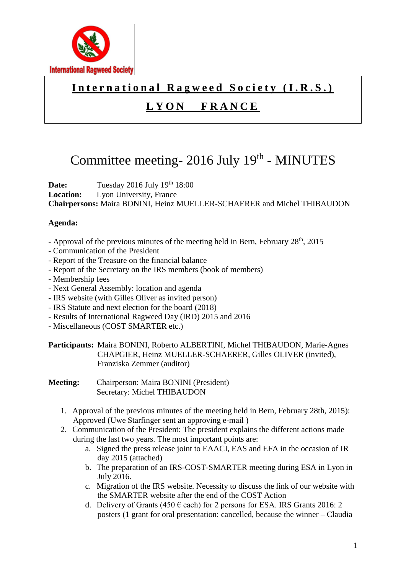

### International Ragweed Society (I.R.S.)

## **L Y O N F R A N C E**

# Committee meeting- 2016 July 19<sup>th</sup> - MINUTES

**Date:** Tuesday 2016 July 19th 18:00 **Location:** Lyon University, France **Chairpersons:** Maira BONINI, Heinz MUELLER-SCHAERER and Michel THIBAUDON

### **Agenda:**

- Approval of the previous minutes of the meeting held in Bern, February 28<sup>th</sup>, 2015
- Communication of the President
- Report of the Treasure on the financial balance
- Report of the Secretary on the IRS members (book of members)
- Membership fees
- Next General Assembly: location and agenda
- IRS website (with Gilles Oliver as invited person)
- IRS Statute and next election for the board (2018)
- Results of International Ragweed Day (IRD) 2015 and 2016
- Miscellaneous (COST SMARTER etc.)

**Participants:** Maira BONINI, Roberto ALBERTINI, Michel THIBAUDON, Marie-Agnes CHAPGIER, Heinz MUELLER-SCHAERER, Gilles OLIVER (invited), Franziska Zemmer (auditor)

- **Meeting:** Chairperson: Maira BONINI (President) Secretary: Michel THIBAUDON
	- 1. Approval of the previous minutes of the meeting held in Bern, February 28th, 2015): Approved (Uwe Starfinger sent an approving e-mail )
	- 2. Communication of the President: The president explains the different actions made during the last two years. The most important points are:
		- a. Signed the press release joint to EAACI, EAS and EFA in the occasion of IR day 2015 (attached)
		- b. The preparation of an IRS-COST-SMARTER meeting during ESA in Lyon in July 2016.
		- c. Migration of the IRS website. Necessity to discuss the link of our website with the SMARTER website after the end of the COST Action
		- d. Delivery of Grants (450  $\epsilon$  each) for 2 persons for ESA. IRS Grants 2016: 2 posters (1 grant for oral presentation: cancelled, because the winner – Claudia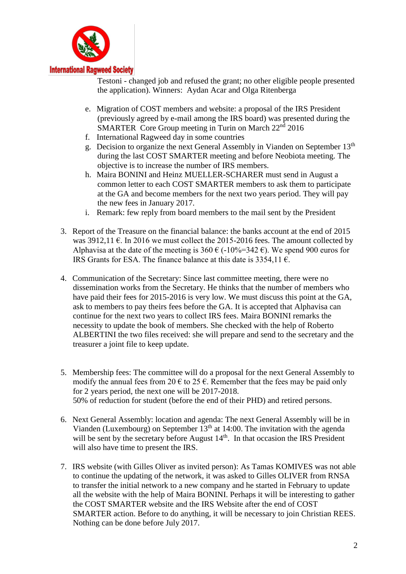

#### **International Ragweed Society**

Testoni - changed job and refused the grant; no other eligible people presented the application). Winners: Aydan Acar and Olga Ritenberga

- e. Migration of COST members and website: a proposal of the IRS President (previously agreed by e-mail among the IRS board) was presented during the SMARTER Core Group meeting in Turin on March 22<sup>nd</sup> 2016
- f. International Ragweed day in some countries
- g. Decision to organize the next General Assembly in Vianden on September 13th during the last COST SMARTER meeting and before Neobiota meeting. The objective is to increase the number of IRS members.
- h. Maira BONINI and Heinz MUELLER-SCHARER must send in August a common letter to each COST SMARTER members to ask them to participate at the GA and become members for the next two years period. They will pay the new fees in January 2017.
- i. Remark: few reply from board members to the mail sent by the President
- 3. Report of the Treasure on the financial balance: the banks account at the end of 2015 was  $3912,11 \text{ }\epsilon$ . In 2016 we must collect the 2015-2016 fees. The amount collected by Alphavisa at the date of the meeting is 360  $\epsilon$  (-10%=342  $\epsilon$ ). We spend 900 euros for IRS Grants for ESA. The finance balance at this date is  $3354.11 \text{ } \epsilon$ .
- 4. Communication of the Secretary: Since last committee meeting, there were no dissemination works from the Secretary. He thinks that the number of members who have paid their fees for 2015-2016 is very low. We must discuss this point at the GA, ask to members to pay theirs fees before the GA. It is accepted that Alphavisa can continue for the next two years to collect IRS fees. Maira BONINI remarks the necessity to update the book of members. She checked with the help of Roberto ALBERTINI the two files received: she will prepare and send to the secretary and the treasurer a joint file to keep update.
- 5. Membership fees: The committee will do a proposal for the next General Assembly to modify the annual fees from 20  $\epsilon$  to 25  $\epsilon$ . Remember that the fees may be paid only for 2 years period, the next one will be 2017-2018. 50% of reduction for student (before the end of their PHD) and retired persons.
- 6. Next General Assembly: location and agenda: The next General Assembly will be in Vianden (Luxembourg) on September  $13<sup>th</sup>$  at 14:00. The invitation with the agenda will be sent by the secretary before August 14<sup>th</sup>. In that occasion the IRS President will also have time to present the IRS.
- 7. IRS website (with Gilles Oliver as invited person): As Tamas KOMIVES was not able to continue the updating of the network, it was asked to Gilles OLIVER from RNSA to transfer the initial network to a new company and he started in February to update all the website with the help of Maira BONINI. Perhaps it will be interesting to gather the COST SMARTER website and the IRS Website after the end of COST SMARTER action. Before to do anything, it will be necessary to join Christian REES. Nothing can be done before July 2017.